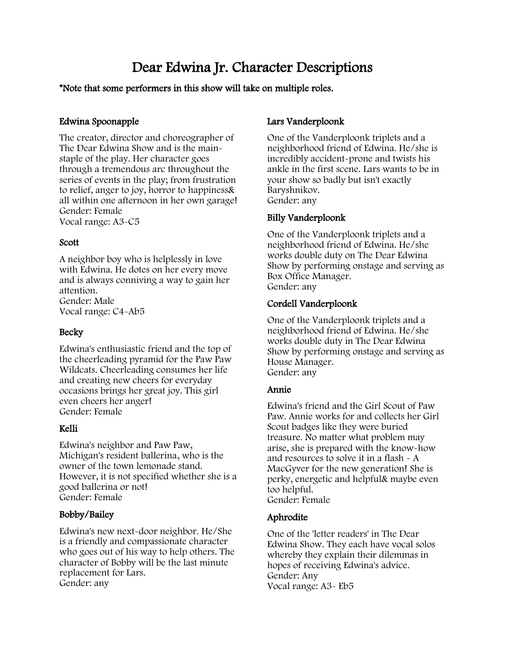# Dear Edwina Jr. Character Descriptions

# \*Note that some performers in this show will take on multiple roles.

# Edwina Spoonapple

The creator, director and choreographer of The Dear Edwina Show and is the mainstaple of the play. Her character goes through a tremendous arc throughout the series of events in the play; from frustration to relief, anger to joy, horror to happiness& all within one afternoon in her own garage! Gender: Female Vocal range: A3-C5

# Scott

A neighbor boy who is helplessly in love with Edwina. He dotes on her every move and is always conniving a way to gain her attention. Gender: Male Vocal range: C4-Ab5

# **Becky**

Edwina's enthusiastic friend and the top of the cheerleading pyramid for the Paw Paw Wildcats. Cheerleading consumes her life and creating new cheers for everyday occasions brings her great joy. This girl even cheers her anger! Gender: Female

# Kelli

Edwina's neighbor and Paw Paw, Michigan's resident ballerina, who is the owner of the town lemonade stand. However, it is not specified whether she is a good ballerina or not! Gender: Female

# Bobby/Bailey

Edwina's new next-door neighbor. He/She is a friendly and compassionate character who goes out of his way to help others. The character of Bobby will be the last minute replacement for Lars. Gender: any

# Lars Vanderploonk

One of the Vanderploonk triplets and a neighborhood friend of Edwina. He/she is incredibly accident-prone and twists his ankle in the first scene. Lars wants to be in your show so badly but isn't exactly Baryshnikov. Gender: any

# Billy Vanderploonk

One of the Vanderploonk triplets and a neighborhood friend of Edwina. He/she works double duty on The Dear Edwina Show by performing onstage and serving as Box Office Manager. Gender: any

# Cordell Vanderploonk

One of the Vanderploonk triplets and a neighborhood friend of Edwina. He/she works double duty in The Dear Edwina Show by performing onstage and serving as House Manager. Gender: any

# Annie

Edwina's friend and the Girl Scout of Paw Paw. Annie works for and collects her Girl Scout badges like they were buried treasure. No matter what problem may arise, she is prepared with the know-how and resources to solve it in a flash - A MacGyver for the new generation! She is perky, energetic and helpful& maybe even too helpful. Gender: Female

# Aphrodite

One of the 'letter readers' in The Dear Edwina Show. They each have vocal solos whereby they explain their dilemmas in hopes of receiving Edwina's advice. Gender: Any Vocal range: A3- Eb5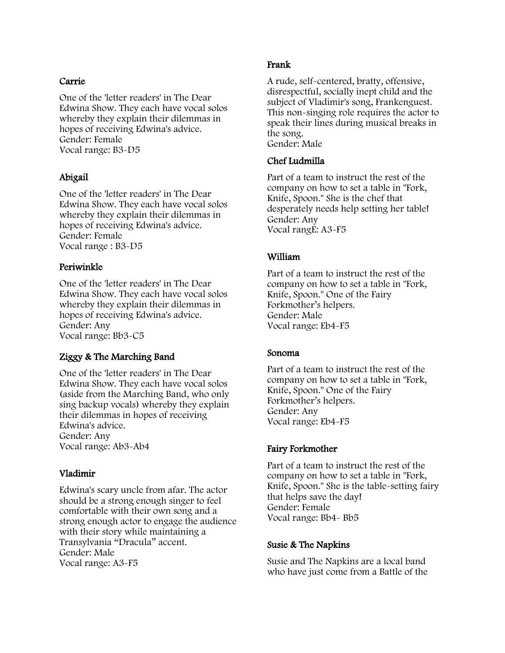#### Carrie

One of the 'letter readers' in The Dear Edwina Show. They each have vocal solos whereby they explain their dilemmas in hopes of receiving Edwina's advice. Gender: Female Vocal range: B3-D5

# Abigail

One of the 'letter readers' in The Dear Edwina Show. They each have vocal solos whereby they explain their dilemmas in hopes of receiving Edwina's advice. Gender: Female Vocal range : B3-D5

# Periwinkle

One of the 'letter readers' in The Dear Edwina Show. They each have vocal solos whereby they explain their dilemmas in hopes of receiving Edwina's advice. Gender: Any Vocal range: Bb3-C5

# Ziggy & The Marching Band

One of the 'letter readers' in The Dear Edwina Show. They each have vocal solos (aside from the Marching Band, who only sing backup vocals) whereby they explain their dilemmas in hopes of receiving Edwina's advice. Gender: Any Vocal range: Ab3-Ab4

# Vladimir

Edwina's scary uncle from afar. The actor should be a strong enough singer to feel comfortable with their own song and a strong enough actor to engage the audience with their story while maintaining a Transylvania "Dracula" accent. Gender: Male Vocal range: A3-F5

# Frank

A rude, self-centered, bratty, offensive, disrespectful, socially inept child and the subject of Vladimir's song, Frankenguest. This non-singing role requires the actor to speak their lines during musical breaks in the song. Gender: Male

# Chef Ludmilla

Part of a team to instruct the rest of the company on how to set a table in "Fork, Knife, Spoon." She is the chef that desperately needs help setting her table! Gender: Any Vocal rangE: A3-F5

## William

Part of a team to instruct the rest of the company on how to set a table in "Fork, Knife, Spoon." One of the Fairy Forkmother's helpers. Gender: Male Vocal range: Eb4-F5

#### Sonoma

Part of a team to instruct the rest of the company on how to set a table in "Fork, Knife, Spoon." One of the Fairy Forkmother's helpers. Gender: Any Vocal range: Eb4-F5

# Fairy Forkmother

Part of a team to instruct the rest of the company on how to set a table in "Fork, Knife, Spoon." She is the table-setting fairy that helps save the day! Gender: Female Vocal range: Bb4- Bb5

# Susie & The Napkins

Susie and The Napkins are a local band who have just come from a Battle of the